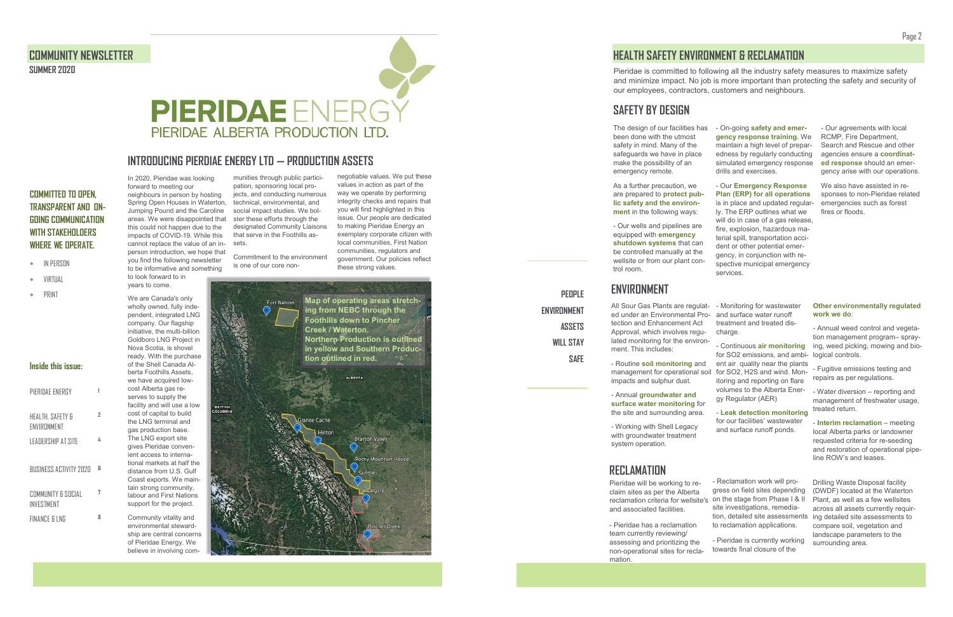negotiable values. We put these values in action as part of the way we operate by performing integrity checks and repairs that you will find highlighted in this issue. Our people are dedicated to making Pieridae Energy an exemplary corporate citizen with local communities, First Nation communities, regulators and government. Our policies reflect these strong values.

In 2020, Pieridae was looking forward to meeting our neighbours in person by hosting Spring Open Houses in Waterton, Jumping Pound and the Caroline areas. We were disappointed that this could not happen due to the impacts of COVID-19. While this cannot replace the value of an inperson introduction, we hope that you find the following newsletter to be informative and something

to look forward to in years to come.



We are Canada's only wholly owned, fully independent, integrated LNG company. Our flagship initiative, the multi-billion Goldboro LNG Project in Nova Scotia, is shovel ready. With the purchase of the Shell Canada Alberta Foothills Assets, we have acquired lowcost Alberta gas reserves to supply the facility and will use a low cost of capital to build the LNG terminal and gas production base. The LNG export site gives Pieridae convenient access to international markets at half the distance from U.S. Gulf Coast exports. We maintain strong community, labour and First Nations support for the project. Community vitality and

As a further precaution, we are prepared to **protect public safety and the environment** in the following ways:

environmental stewardship are central concerns of Pieridae Energy. We believe in involving com-

munities through public participation, sponsoring local projects, and conducting numerous technical, environmental, and social impact studies. We bolster these efforts through the designated Community Liaisons that serve in the Foothills assets.

Commitment to the environment is one of our core non-

## **COMMITTED TO OPEN, TRANSPARENT AND ON-GOING COMMUNICATION WITH STAKEHOLDERS WHERE WE OPERATE.**

- IN PERSON
- VIRTUAL
- PRINT

## **INTRODUCING PIERDIAE ENERGY LTD — PRODUCTION ASSETS**

#### **Inside this issue:**

- Annual **groundwater and surface water monitoring** for the site and surrounding area.

| PIFRIDAF FNFRGY                  |   |
|----------------------------------|---|
| HEALTH, SAFETY &<br>FNVIRNNMFNT  | 7 |
| I FADFRSHIP AT SITF              | 4 |
| RUSINESS ACTIVITY 2020           | R |
| COMMUNITY & SOCIAL<br>INVESTMENT | 7 |
| FINANCE & LNG                    | R |

- Working with Shell Legacy with groundwater treatment system operation



The design of our facilities has been done with the utmost safety in mind. Many of the safeguards we have in place make the possibility of an emergency remote.

- Our wells and pipelines are equipped with **emergency shutdown systems** that can be controlled manually at the wellsite or from our plant control room.

- On-going **safety and emergency response training**. We maintain a high level of preparedness by regularly conducting simulated emergency response drills and exercises.

- Our **Emergency Response Plan (ERP) for all operations**  is in place and updated regularly. The ERP outlines what we

will do in case of a gas release, fire, explosion, hazardous material spill, transportation accident or other potential emergency, in conjunction with re-

spective municipal emergency services.

- Our agreements with local RCMP, Fire Department, Search and Rescue and other agencies ensure a **coordinated response** should an emergency arise with our operations.

We also have assisted in responses to non-Pieridae related emergencies such as forest fires or floods.

- Monitoring for wastewater and surface water runoff treatment and treated discharge.

- Continuous **air monitoring**  for SO2 emissions, and ambi-logical controls. ent air quality near the plants management for operational soil for SO2, H2S and wind. Monitoring and reporting on flare volumes to the Alberta Energy Regulator (AER)

> - **Leak detection monitoring**  for our facilities' wastewater and surface runoff ponds.

All Sour Gas Plants are regulated under an Environmental Protection and Enhancement Act Approval, which involves regulated monitoring for the environment. This includes:

- Routine **soil monitoring** and impacts and sulphur dust.

## **ENVIRONMENT**

# **HEALTH SAFETY ENVIRONMENT & RECLAMATION**

**PEOPLE** 

**ENVIRONMENT** 

**ASSETS** 

**WILL STAY** 

**SAFE**

Pieridae is committed to following all the industry safety measures to maximize safety and minimize impact. No job is more important than protecting the safety and security of our employees, contractors, customers and neighbours.

# **SAFETY BY DESIGN**

# **RECLAMATION**

#### **Other environmentally regulated work we do**:

- Annual weed control and vegetation management program– spraying, weed picking, mowing and bio-

- Fugitive emissions testing and repairs as per regulations.

- Water diversion – reporting and management of freshwater usage, treated return.

- **Interim reclamation** – meeting local Alberta parks or landowner requested criteria for re-seeding and restoration of operational pipeline ROW's and leases.

Pieridae will be working to reclaim sites as per the Alberta reclamation criteria for wellsite's on the stage from Phase I & II and associated facilities. - Pieridae has a reclamation - Reclamation work will progress on field sites depending site investigations, remediation, detailed site assessments to reclamation applications.

team currently reviewing/ assessing and prioritizing the non-operational sites for reclamation. - Pieridae is currently working towards final closure of the

Drilling Waste Disposal facility (DWDF) located at the Waterton Plant, as well as a few wellsites across all assets currently requiring detailed site assessments to compare soil, vegetation and landscape parameters to the surrounding area.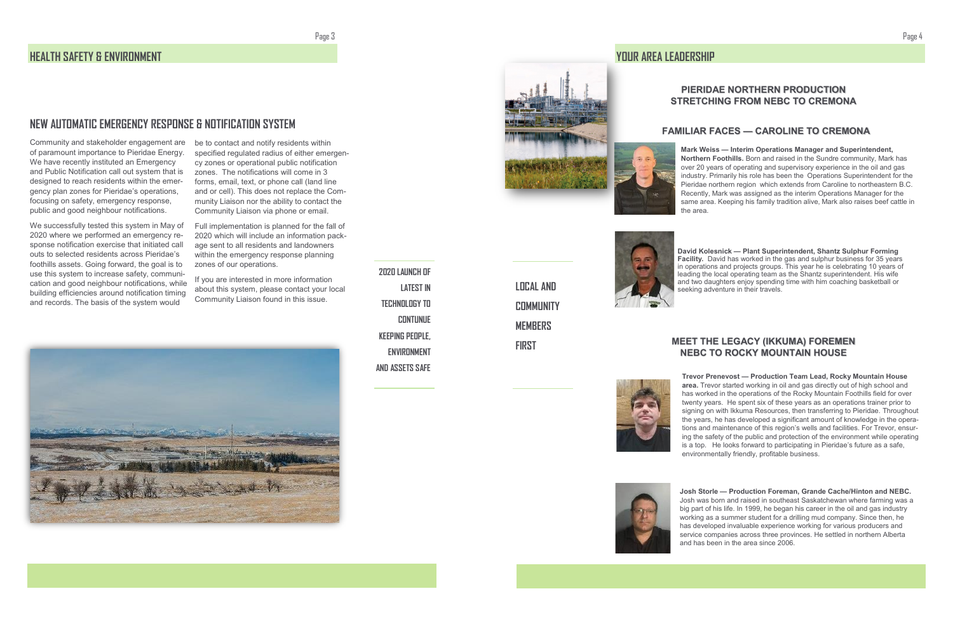specified regulated radius of either emergency zones or operational public notification zones. The notifications will come in 3 forms, email, text, or phone call (land line and or cell). This does not replace the Community Liaison nor the ability to contact the Community Liaison via phone or email.

Full implementation is planned for the fall of 2020 which will include an information package sent to all residents and landowners within the emergency response planning zones of our operations.

Community and stakeholder engagement are be to contact and notify residents within of paramount importance to Pieridae Energy. We have recently instituted an Emergency and Public Notification call out system that is designed to reach residents within the emergency plan zones for Pieridae's operations, focusing on safety, emergency response, public and good neighbour notifications.

> If you are interested in more information about this system, please contact your local Community Liaison found in this issue.





## **NEW AUTOMATIC EMERGENCY RESPONSE & NOTIFICATION SYSTEM**

We successfully tested this system in May of 2020 where we performed an emergency response notification exercise that initiated call outs to selected residents across Pieridae's foothills assets. Going forward, the goal is to use this system to increase safety, communication and good neighbour notifications, while building efficiencies around notification timing and records. The basis of the system would

#### Page 3

**2020 LAUNCH OF** 

**LATEST IN** 

**TECHNOLOGY TO** 

**CONTUNUE** 

**KEEPING PEOPLE,** 

**AND ASSETS SAFE**

**ENVIRONMENT** 

## **HEALTH SAFETY & ENVIRONMENT**

**LOCAL AND COMMUNITY MEMBERS FIRST**





**David Kolesnick — Plant Superintendent, Shantz Sulphur Forming Facility.** David has worked in the gas and sulphur business for 35 years in operations and projects groups. This year he is celebrating 10 years of leading the local operating team as the Shantz superintendent. His wife and two daughters enjoy spending time with him coaching basketball or seeking adventure in their travels.

**Mark Weiss — Interim Operations Manager and Superintendent, Northern Foothills.** Born and raised in the Sundre community, Mark has over 20 years of operating and supervisory experience in the oil and gas industry. Primarily his role has been the Operations Superintendent for the Pieridae northern region which extends from Caroline to northeastern B.C. Recently, Mark was assigned as the interim Operations Manager for the same area. Keeping his family tradition alive, Mark also raises beef cattle in the area.

**Trevor Prenevost — Production Team Lead, Rocky Mountain House area.** Trevor started working in oil and gas directly out of high school and has worked in the operations of the Rocky Mountain Foothills field for over twenty years. He spent six of these years as an operations trainer prior to signing on with Ikkuma Resources, then transferring to Pieridae. Throughout the years, he has developed a significant amount of knowledge in the operations and maintenance of this region's wells and facilities. For Trevor, ensuring the safety of the public and protection of the environment while operating is a top. He looks forward to participating in Pieridae's future as a safe, environmentally friendly, profitable business.



**Josh Storle — Production Foreman, Grande Cache/Hinton and NEBC.**  Josh was born and raised in southeast Saskatchewan where farming was a big part of his life. In 1999, he began his career in the oil and gas industry working as a summer student for a drilling mud company. Since then, he has developed invaluable experience working for various producers and service companies across three provinces. He settled in northern Alberta and has been in the area since 2006.

#### **YOUR AREA LEADERSHIP**

#### **MEET THE LEGACY (IKKUMA) FOREMEN NEBC TO ROCKY MOUNTAIN HOUSE**

#### **FAMILIAR FACES — CAROLINE TO CREMONA**

#### **PIERIDAE NORTHERN PRODUCTION STRETCHING FROM NEBC TO CREMONA**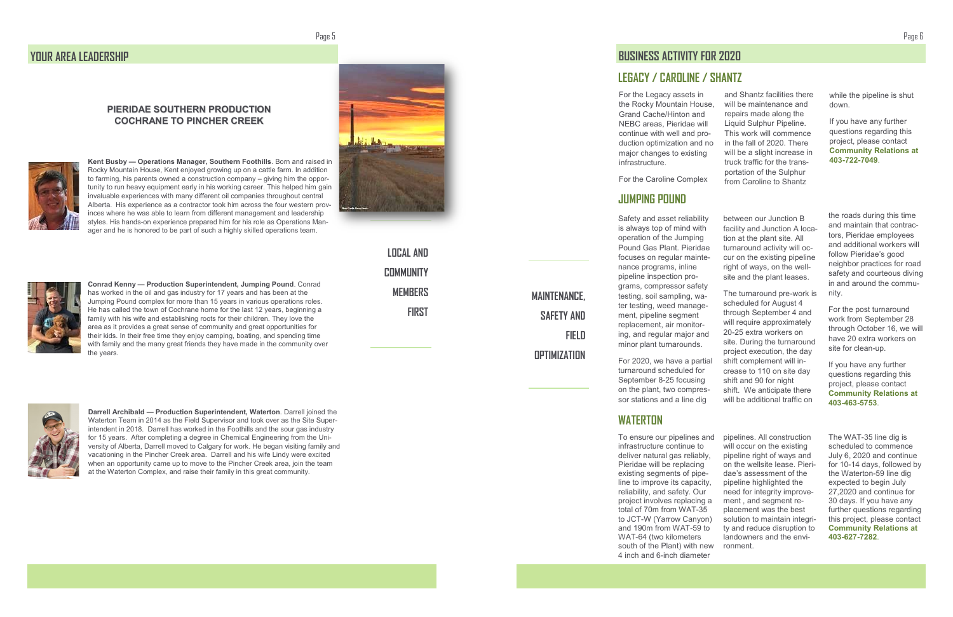Page 5

#### Page 6

**Kent Busby — Operations Manager, Southern Foothills**. Born and raised in Rocky Mountain House, Kent enjoyed growing up on a cattle farm. In addition to farming, his parents owned a construction company – giving him the opportunity to run heavy equipment early in his working career. This helped him gain invaluable experiences with many different oil companies throughout central Alberta. His experience as a contractor took him across the four western provinces where he was able to learn from different management and leadership styles. His hands -on experience prepared him for his role as Operations Manager and he is honored to be part of such a highly skilled operations team.



**Conrad Kenny — Production Superintendent, Jumping Pound**. Conrad has worked in the oil and gas industry for 17 years and has been at the Jumping Pound complex for more than 15 years in various operations roles. He has called the town of Cochrane home for the last 12 years, beginning a family with his wife and establishing roots for their children. They love the area as it provides a great sense of community and great opportunities for their kids. In their free time they enjoy camping, boating, and spending time with family and the many great friends they have made in the community over the years.



**Darrell Archibald — Production Superintendent, Waterton**. Darrell joined the Waterton Team in 2014 as the Field Supervisor and took over as the Site Superintendent in 2018. Darrell has worked in the Foothills and the sour gas industry for 15 years. After completing a degree in Chemical Engineering from the University of Alberta, Darrell moved to Calgary for work. He began visiting family and vacationing in the Pincher Creek area. Darrell and his wife Lindy were excited when an opportunity came up to move to the Pincher Creek area, join the team at the Waterton Complex, and raise their family in this great community.



## **YOUR AREA LEADERSHIP**

**LOCAL AND COMMUNITY MEMBERS FIRST**

### **PIERIDAE SOUTHERN PRODUCTION COCHRANE TO PINCHER CREEK**



pipelines. All construction will occur on the existing pipeline right of ways and on the wellsite lease. Pieridae's assessment of the pipeline highlighted the need for integrity improvement , and segment replacement was the best solution to maintain integrity and reduce disruption to landowners and the environment. To ensure our pipelines and infrastructure continue to deliver natural gas reliably, Pieridae will be replacing existing segments of pipeline to improve its capacity, reliability, and safety. Our project involves replacing a total of 70m from WAT -35 to JCT -W (Yarrow Canyon) and 190m from WAT -59 to WAT -64 (two kilometers south of the Plant) with new 4 inch and 6 -inch diameter

The WAT -35 line dig is scheduled to commence July 6, 2020 and continue for 10 -14 days, followed by the Waterton -59 line dig expected to begin July 27,2020 and continue for 30 days. If you have any further questions regarding this project, please contact **Community Relations at 403 -627 -7282**.

## **WATERTON**

between our Junction B facility and Junction A location at the plant site. All turnaround activity will occur on the existing pipeline right of ways, on the wellsite and the plant leases.

The turnaround pre -work is scheduled for August 4 through September 4 and will require approximately 20 -25 extra workers on site. During the turnaround project execution, the day shift complement will increase to 110 on site day shift and 90 for night shift. We anticipate there will be additional traffic on

the roads during this time and maintain that contractors, Pieridae employees and additional workers will follow Pieridae 's good neighbor practices for road safety and courteous diving in and around the community.

For the post turnaround work from September 28 through October 16, we will have 20 extra workers on site for clean -up.

If you have any further questions regarding this project, please contact **Community Relations at 403 -463 -5753**.

### **JUMPING POUND**

Safety and asset reliability is always top of mind with operation of the Jumping Pound Gas Plant. Pieridae focuses on regular maintenance programs, inline pipeline inspection programs, compressor safety testing, soil sampling, water testing, weed management, pipeline segment replacement, air monitoring, and regular major and minor plant turnarounds.

For 2020, we have a partial turnaround scheduled for September 8 -25 focusing on the plant, two compressor stations and a line dig

## **LEGACY / CAROLINE / SHANTZ**

**MAINTENANCE, SAFETY AND FIELD OPTIMIZATION**

# **BUSINESS ACTIVITY FOR 2020**

For the Legacy assets in the Rocky Mountain House, Grand Cache/Hinton and NEBC areas, Pieridae will continue with well and production optimization and no major changes to existing infrastructure. For the Caroline Complex and Shantz facilities there will be maintenance and repairs made along the Liquid Sulphur Pipeline. This work will commence in the fall of 2020. There will be a slight increase in truck traffic for the transportation of the Sulphur from Caroline to Shantz

while the pipeline is shut down.

If you have any further questions regarding this project, please contact **Community Relations at 403 -722 -7049**.